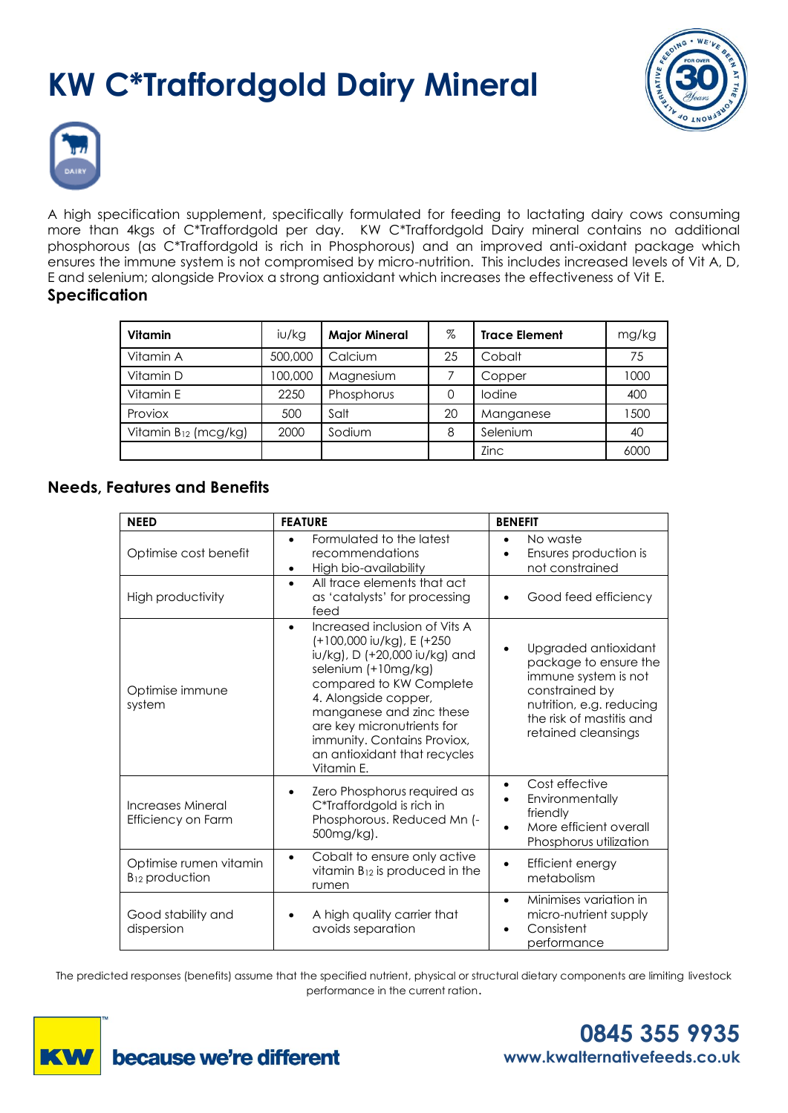# **KW C\*Traffordgold Dairy Mineral**





A high specification supplement, specifically formulated for feeding to lactating dairy cows consuming more than 4kgs of C\*Traffordgold per day. KW C\*Traffordgold Dairy mineral contains no additional phosphorous (as C\*Traffordgold is rich in Phosphorous) and an improved anti-oxidant package which ensures the immune system is not compromised by micro-nutrition. This includes increased levels of Vit A, D, E and selenium; alongside Proviox a strong antioxidant which increases the effectiveness of Vit E.

#### **Specification**

| <b>Vitamin</b>                   | i∪/kg   | <b>Major Mineral</b> | $\%$ | <b>Trace Element</b> | mg/kg |
|----------------------------------|---------|----------------------|------|----------------------|-------|
| Vitamin A                        | 500,000 | Calcium              | 25   | Cobalt               | 75    |
| Vitamin D                        | 100,000 | Magnesium            |      | Copper               | 1000  |
| Vitamin E                        | 2250    | Phosphorus           |      | lodine               | 400   |
| Proviox                          | 500     | Salt                 | 20   | Manganese            | 1500  |
| Vitamin B <sub>12</sub> (mcg/kg) | 2000    | Sodium               | 8    | Selenium             | 40    |
|                                  |         |                      |      | Zinc                 | 6000  |

# **Needs, Features and Benefits**

| <b>NEED</b>                                          | <b>FEATURE</b>                                                                                                                                                                                                                                                                                                            | <b>BENEFIT</b>                                                                                                                                                         |
|------------------------------------------------------|---------------------------------------------------------------------------------------------------------------------------------------------------------------------------------------------------------------------------------------------------------------------------------------------------------------------------|------------------------------------------------------------------------------------------------------------------------------------------------------------------------|
| Optimise cost benefit                                | Formulated to the latest<br>recommendations<br>High bio-availability<br>$\bullet$                                                                                                                                                                                                                                         | No waste<br>Ensures production is<br>not constrained                                                                                                                   |
| High productivity                                    | All trace elements that act<br>$\bullet$<br>as 'catalysts' for processing<br>feed                                                                                                                                                                                                                                         | Good feed efficiency                                                                                                                                                   |
| Optimise immune<br>system                            | Increased inclusion of Vits A<br>$\bullet$<br>(+100,000 iu/kg), E (+250<br>iu/kg), D (+20,000 iu/kg) and<br>selenium (+10mg/kg)<br>compared to KW Complete<br>4. Alongside copper,<br>manganese and zinc these<br>are key micronutrients for<br>immunity. Contains Proviox,<br>an antioxidant that recycles<br>Vitamin E. | Upgraded antioxidant<br>package to ensure the<br>immune system is not<br>constrained by<br>nutrition, e.g. reducing<br>the risk of mastitis and<br>retained cleansings |
| Increases Mineral<br>Efficiency on Farm              | Zero Phosphorus required as<br>٠<br>C*Traffordgold is rich in<br>Phosphorous. Reduced Mn (-<br>500mg/kg).                                                                                                                                                                                                                 | Cost effective<br>$\bullet$<br>Environmentally<br>friendly<br>More efficient overall<br>Phosphorus utilization                                                         |
| Optimise rumen vitamin<br>B <sub>12</sub> production | Cobalt to ensure only active<br>$\bullet$<br>vitamin $B_{12}$ is produced in the<br>rumen                                                                                                                                                                                                                                 | Efficient energy<br>metabolism                                                                                                                                         |
| Good stability and<br>dispersion                     | A high quality carrier that<br>avoids separation                                                                                                                                                                                                                                                                          | Minimises variation in<br>$\bullet$<br>micro-nutrient supply<br>Consistent<br>performance                                                                              |

The predicted responses (benefits) assume that the specified nutrient, physical or structural dietary components are limiting livestock performance in the current ration.



**0845 355 9935 www.kwalternativefeeds.co.uk**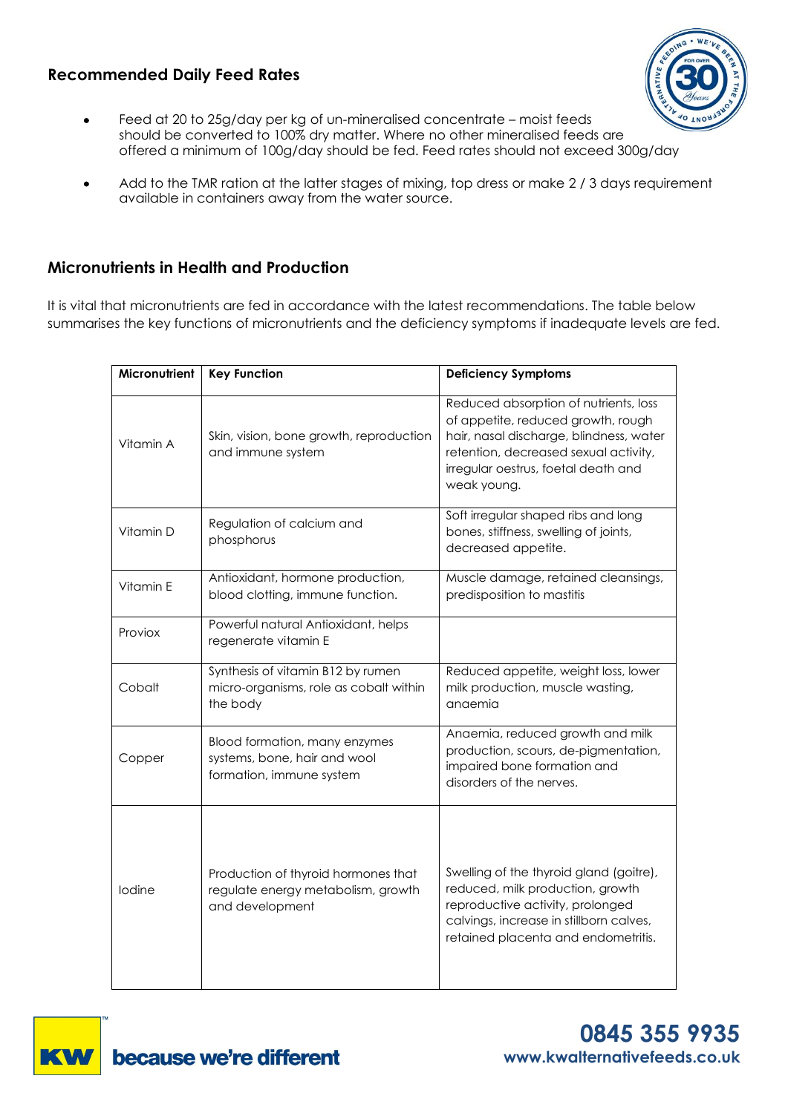# **Recommended Daily Feed Rates**



- Feed at 20 to 25g/day per kg of un-mineralised concentrate moist feeds should be converted to 100% dry matter. Where no other mineralised feeds are offered a minimum of 100g/day should be fed. Feed rates should not exceed 300g/day
- Add to the TMR ration at the latter stages of mixing, top dress or make 2 / 3 days requirement available in containers away from the water source.

## **Micronutrients in Health and Production**

It is vital that micronutrients are fed in accordance with the latest recommendations. The table below summarises the key functions of micronutrients and the deficiency symptoms if inadequate levels are fed.

| <b>Micronutrient</b> | <b>Key Function</b>                                                                          | <b>Deficiency Symptoms</b>                                                                                                                                                                                            |
|----------------------|----------------------------------------------------------------------------------------------|-----------------------------------------------------------------------------------------------------------------------------------------------------------------------------------------------------------------------|
| Vitamin A            | Skin, vision, bone growth, reproduction<br>and immune system                                 | Reduced absorption of nutrients, loss<br>of appetite, reduced growth, rough<br>hair, nasal discharge, blindness, water<br>retention, decreased sexual activity,<br>irregular oestrus, foetal death and<br>weak young. |
| Vitamin D            | Regulation of calcium and<br>phosphorus                                                      | Soft irregular shaped ribs and long<br>bones, stiffness, swelling of joints,<br>decreased appetite.                                                                                                                   |
| Vitamin E            | Antioxidant, hormone production,<br>blood clotting, immune function.                         | Muscle damage, retained cleansings,<br>predisposition to mastitis                                                                                                                                                     |
| Proviox              | Powerful natural Antioxidant, helps<br>regenerate vitamin E                                  |                                                                                                                                                                                                                       |
| Cobalt               | Synthesis of vitamin B12 by rumen<br>micro-organisms, role as cobalt within<br>the body      | Reduced appetite, weight loss, lower<br>milk production, muscle wasting,<br>anaemia                                                                                                                                   |
| Copper               | Blood formation, many enzymes<br>systems, bone, hair and wool<br>formation, immune system    | Anaemia, reduced growth and milk<br>production, scours, de-pigmentation,<br>impaired bone formation and<br>disorders of the nerves.                                                                                   |
| lodine               | Production of thyroid hormones that<br>regulate energy metabolism, growth<br>and development | Swelling of the thyroid gland (goitre),<br>reduced, milk production, growth<br>reproductive activity, prolonged<br>calvings, increase in stillborn calves,<br>retained placenta and endometritis.                     |